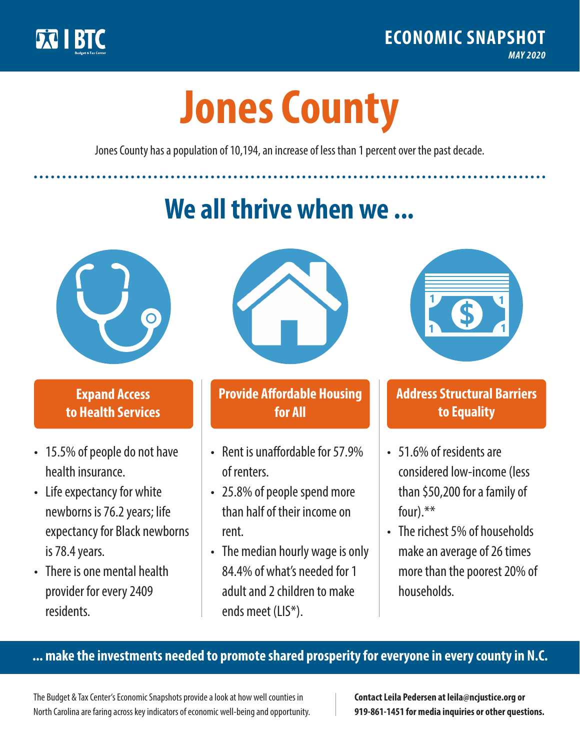

**1**

# **Jones County**

Jones County has a population of 10,194, an increase of less than 1 percent over the past decade.

# **We all thrive when we ...**



**\$ <sup>1</sup>**

**\$ <sup>1</sup>**

## **Expand Access to Health Services**

- 15.5% of people do not have health insurance.
- Life expectancy for white newborns is 76.2years; life expectancy for Black newborns is 78.4years.
- There is one mental health provider for every 2409 residents.



## **Provide Affordable Housing for All**

- Rent is unaffordable for 57 9% of renters.
- 25.8% of people spend more than half of their income on rent.
- The median hourly wage is only 84.4% of what's needed for 1 adult and 2 children to make ends meet (LIS\*).



## **Address Structural Barriers to Equality**

- 51.6% of residents are considered low-income (less than \$50,200 for a family of four).\*\*
- The richest 5% of households make an average of 26 times more than the poorest 20% of households.

#### **... make the investments needed to promote shared prosperity for everyone in every county in N.C.**

The Budget & Tax Center's Economic Snapshots provide a look at how well counties in North Carolina are faring across key indicators of economic well-being and opportunity.